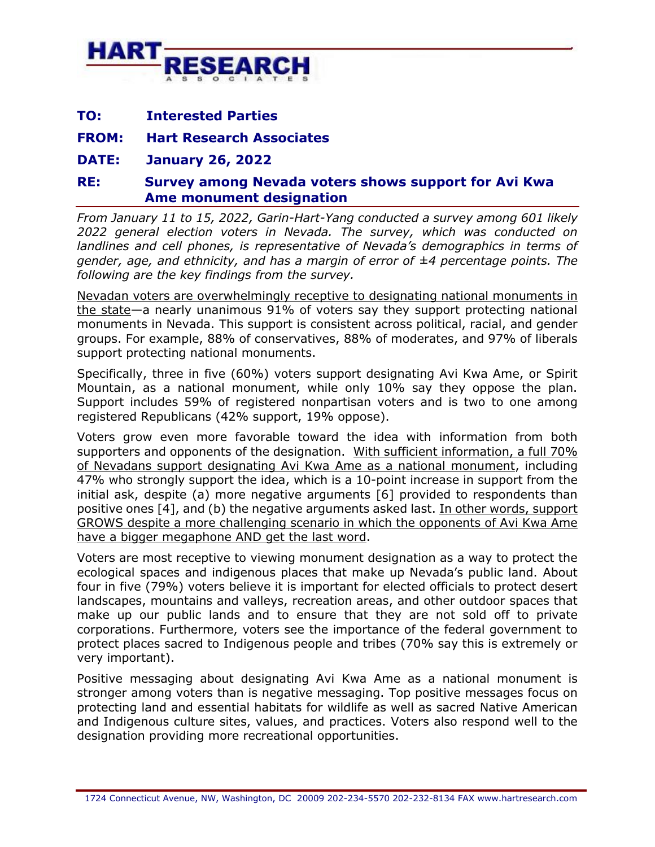

| <b>Interested Parties</b><br>TO: |
|----------------------------------|
|----------------------------------|

**FROM: Hart Research Associates**

**DATE: January 26, 2022**

## **RE: Survey among Nevada voters shows support for Avi Kwa Ame monument designation**

*From January 11 to 15, 2022, Garin-Hart-Yang conducted a survey among 601 likely 2022 general election voters in Nevada. The survey, which was conducted on landlines and cell phones, is representative of Nevada's demographics in terms of gender, age, and ethnicity, and has a margin of error of ±4 percentage points. The following are the key findings from the survey.*

Nevadan voters are overwhelmingly receptive to designating national monuments in the state—a nearly unanimous 91% of voters say they support protecting national monuments in Nevada. This support is consistent across political, racial, and gender groups. For example, 88% of conservatives, 88% of moderates, and 97% of liberals support protecting national monuments.

Specifically, three in five (60%) voters support designating Avi Kwa Ame, or Spirit Mountain, as a national monument, while only 10% say they oppose the plan. Support includes 59% of registered nonpartisan voters and is two to one among registered Republicans (42% support, 19% oppose).

Voters grow even more favorable toward the idea with information from both supporters and opponents of the designation. With sufficient information, a full 70% of Nevadans support designating Avi Kwa Ame as a national monument, including 47% who strongly support the idea, which is a 10-point increase in support from the initial ask, despite (a) more negative arguments [6] provided to respondents than positive ones [4], and (b) the negative arguments asked last. In other words, support GROWS despite a more challenging scenario in which the opponents of Avi Kwa Ame have a bigger megaphone AND get the last word.

Voters are most receptive to viewing monument designation as a way to protect the ecological spaces and indigenous places that make up Nevada's public land. About four in five (79%) voters believe it is important for elected officials to protect desert landscapes, mountains and valleys, recreation areas, and other outdoor spaces that make up our public lands and to ensure that they are not sold off to private corporations. Furthermore, voters see the importance of the federal government to protect places sacred to Indigenous people and tribes (70% say this is extremely or very important).

Positive messaging about designating Avi Kwa Ame as a national monument is stronger among voters than is negative messaging. Top positive messages focus on protecting land and essential habitats for wildlife as well as sacred Native American and Indigenous culture sites, values, and practices. Voters also respond well to the designation providing more recreational opportunities.